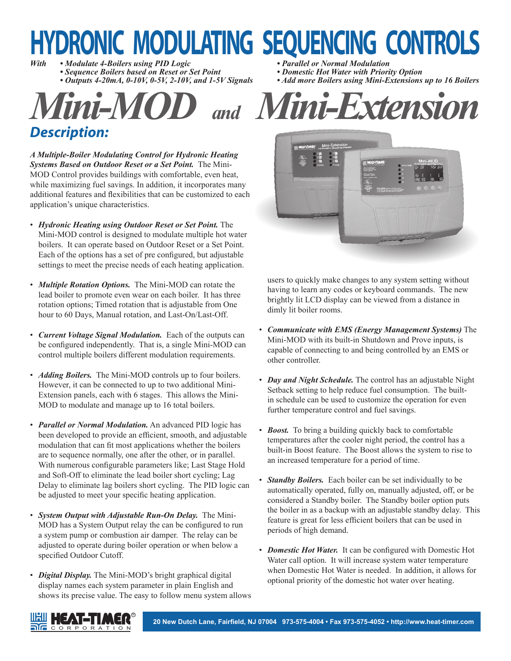# **HYDRONIC MODULATING SEQUENCING CONTROLS**

*With • Modulate 4-Boilers using PID Logic • Parallel or Normal Modulation*

- *Sequence Boilers based on Reset or Set Point*<br> *Outputs 4-20mA, 0-10V, 0-5V, 2-10V, and 1-5V Signals*
- 
- *Description:*

*A Multiple-Boiler Modulating Control for Hydronic Heating Systems Based on Outdoor Reset or a Set Point.* The Mini-MOD Control provides buildings with comfortable, even heat, while maximizing fuel savings. In addition, it incorporates many additional features and flexibilities that can be customized to each application's unique characteristics.

- *Hydronic Heating using Outdoor Reset or Set Point.* The Mini-MOD control is designed to modulate multiple hot water boilers. It can operate based on Outdoor Reset or a Set Point. Each of the options has a set of pre configured, but adjustable settings to meet the precise needs of each heating application.
- *Multiple Rotation Options.* The Mini-MOD can rotate the lead boiler to promote even wear on each boiler. It has three rotation options; Timed rotation that is adjustable from One hour to 60 Days, Manual rotation, and Last-On/Last-Off.
- *Current Voltage Signal Modulation.* Each of the outputs can be configured independently. That is, a single Mini-MOD can control multiple boilers different modulation requirements.
- *Adding Boilers*. The Mini-MOD controls up to four boilers. However, it can be connected to up to two additional Mini-Extension panels, each with 6 stages. This allows the Mini-MOD to modulate and manage up to 16 total boilers.
- *Parallel or Normal Modulation.* An advanced PID logic has been developed to provide an efficient, smooth, and adjustable modulation that can fit most applications whether the boilers are to sequence normally, one after the other, or in parallel. With numerous configurable parameters like; Last Stage Hold and Soft-Off to eliminate the lead boiler short cycling; Lag Delay to eliminate lag boilers short cycling. The PID logic can be adjusted to meet your specific heating application.
- *System Output with Adjustable Run-On Delay.* The Mini-MOD has a System Output relay the can be configured to run a system pump or combustion air damper. The relay can be adjusted to operate during boiler operation or when below a specified Outdoor Cutoff.
- *Digital Display.* The Mini-MOD's bright graphical digital display names each system parameter in plain English and shows its precise value. The easy to follow menu system allows
- 
- 
- Add more Boilers using Mini-Extensions up to 16 Boilers





users to quickly make changes to any system setting without having to learn any codes or keyboard commands. The new brightly lit LCD display can be viewed from a distance in dimly lit boiler rooms.

- *Communicate with EMS (Energy Management Systems)* The Mini-MOD with its built-in Shutdown and Prove inputs, is capable of connecting to and being controlled by an EMS or other controller.
- *Day and Night Schedule.* The control has an adjustable Night Setback setting to help reduce fuel consumption. The builtin schedule can be used to customize the operation for even further temperature control and fuel savings.
- *Boost*. To bring a building quickly back to comfortable temperatures after the cooler night period, the control has a built-in Boost feature. The Boost allows the system to rise to an increased temperature for a period of time.
- *Standby Boilers.* Each boiler can be set individually to be automatically operated, fully on, manually adjusted, off, or be considered a Standby boiler. The Standby boiler option puts the boiler in as a backup with an adjustable standby delay. This feature is great for less efficient boilers that can be used in periods of high demand.
- *Domestic Hot Water.* It can be configured with Domestic Hot Water call option. It will increase system water temperature when Domestic Hot Water is needed. In addition, it allows for optional priority of the domestic hot water over heating.

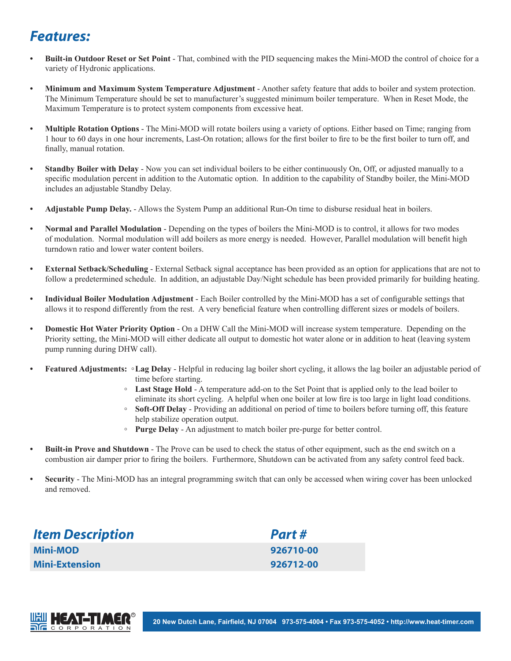#### *Features:*

- **Built-in Outdoor Reset or Set Point** That, combined with the PID sequencing makes the Mini-MOD the control of choice for a variety of Hydronic applications.
- **Minimum and Maximum System Temperature Adjustment**  Another safety feature that adds to boiler and system protection. The Minimum Temperature should be set to manufacturer's suggested minimum boiler temperature. When in Reset Mode, the Maximum Temperature is to protect system components from excessive heat.
- **Multiple Rotation Options** The Mini-MOD will rotate boilers using a variety of options. Either based on Time; ranging from 1 hour to 60 days in one hour increments, Last-On rotation; allows for the first boiler to fire to be the first boiler to turn off, and finally, manual rotation.
- **Standby Boiler with Delay -** Now you can set individual boilers to be either continuously On, Off, or adjusted manually to a specific modulation percent in addition to the Automatic option. In addition to the capability of Standby boiler, the Mini-MOD includes an adjustable Standby Delay.
- **Adjustable Pump Delay.** Allows the System Pump an additional Run-On time to disburse residual heat in boilers.
- **Normal and Parallel Modulation** Depending on the types of boilers the Mini-MOD is to control, it allows for two modes of modulation. Normal modulation will add boilers as more energy is needed. However, Parallel modulation will benefit high turndown ratio and lower water content boilers.
- **External Setback/Scheduling**  External Setback signal acceptance has been provided as an option for applications that are not to follow a predetermined schedule. In addition, an adjustable Day/Night schedule has been provided primarily for building heating.
- **Individual Boiler Modulation Adjustment** Each Boiler controlled by the Mini-MOD has a set of configurable settings that allows it to respond differently from the rest. A very beneficial feature when controlling different sizes or models of boilers.
- **Domestic Hot Water Priority Option** On a DHW Call the Mini-MOD will increase system temperature. Depending on the Priority setting, the Mini-MOD will either dedicate all output to domestic hot water alone or in addition to heat (leaving system pump running during DHW call).
- **Featured Adjustments: Lag Delay**  Helpful in reducing lag boiler short cycling, it allows the lag boiler an adjustable period of time before starting.
	- **Last Stage Hold**  A temperature add-on to the Set Point that is applied only to the lead boiler to eliminate its short cycling. A helpful when one boiler at low fire is too large in light load conditions.
	- **Soft-Off Delay** Providing an additional on period of time to boilers before turning off, this feature help stabilize operation output.
	- **Purge Delay**  An adjustment to match boiler pre-purge for better control.
- **Built-in Prove and Shutdown** The Prove can be used to check the status of other equipment, such as the end switch on a combustion air damper prior to firing the boilers. Furthermore, Shutdown can be activated from any safety control feed back.
- **Security** The Mini-MOD has an integral programming switch that can only be accessed when wiring cover has been unlocked and removed.

| <b>Item Description</b> | Part#     |
|-------------------------|-----------|
| <b>Mini-MOD</b>         | 926710-00 |
| <b>Mini-Extension</b>   | 926712-00 |

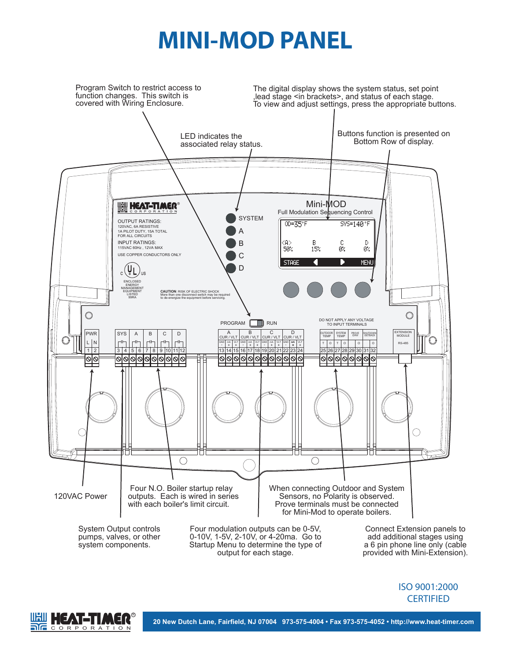## **MINI-MOD PANEL**



output for each stage.

a 6 pin phone line only (cable provided with Mini-Extension).

**CERTIFIED** 

ISO 9001:2000



**20 New Dutch Lane, Fairfield, NJ 07004 973-575-4004 • Fax 973-575-4052 • http://www.heat-timer.com**